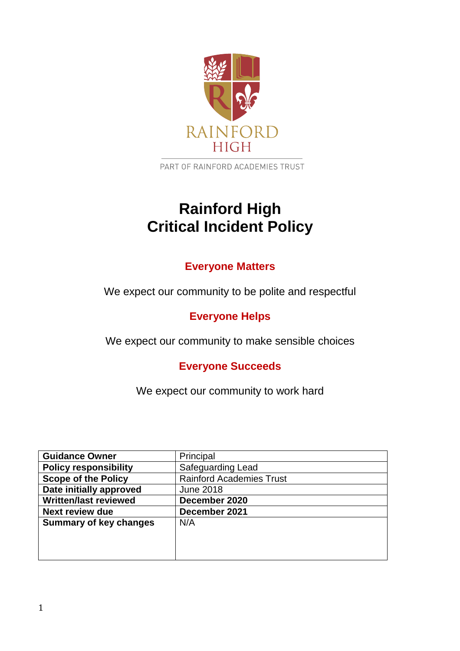

PART OF RAINFORD ACADEMIES TRUST

# **Rainford High Critical Incident Policy**

# **Everyone Matters**

We expect our community to be polite and respectful

# **Everyone Helps**

We expect our community to make sensible choices

# **Everyone Succeeds**

We expect our community to work hard

| <b>Guidance Owner</b>         | Principal                       |
|-------------------------------|---------------------------------|
| <b>Policy responsibility</b>  | Safeguarding Lead               |
| <b>Scope of the Policy</b>    | <b>Rainford Academies Trust</b> |
| Date initially approved       | <b>June 2018</b>                |
| <b>Written/last reviewed</b>  | December 2020                   |
| <b>Next review due</b>        | December 2021                   |
| <b>Summary of key changes</b> | N/A                             |
|                               |                                 |
|                               |                                 |
|                               |                                 |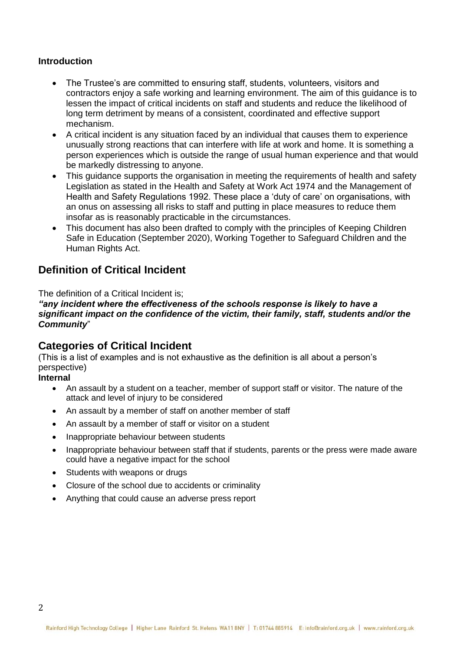#### **Introduction**

- The Trustee's are committed to ensuring staff, students, volunteers, visitors and contractors enjoy a safe working and learning environment. The aim of this guidance is to lessen the impact of critical incidents on staff and students and reduce the likelihood of long term detriment by means of a consistent, coordinated and effective support mechanism.
- A critical incident is any situation faced by an individual that causes them to experience unusually strong reactions that can interfere with life at work and home. It is something a person experiences which is outside the range of usual human experience and that would be markedly distressing to anyone.
- This quidance supports the organisation in meeting the requirements of health and safety Legislation as stated in the Health and Safety at Work Act 1974 and the Management of Health and Safety Regulations 1992. These place a 'duty of care' on organisations, with an onus on assessing all risks to staff and putting in place measures to reduce them insofar as is reasonably practicable in the circumstances.
- This document has also been drafted to comply with the principles of Keeping Children Safe in Education (September 2020), Working Together to Safeguard Children and the Human Rights Act.

# **Definition of Critical Incident**

The definition of a Critical Incident is;

*"any incident where the effectiveness of the schools response is likely to have a significant impact on the confidence of the victim, their family, staff, students and/or the Community*"

### **Categories of Critical Incident**

(This is a list of examples and is not exhaustive as the definition is all about a person's perspective)

#### **Internal**

- An assault by a student on a teacher, member of support staff or visitor. The nature of the attack and level of injury to be considered
- An assault by a member of staff on another member of staff
- An assault by a member of staff or visitor on a student
- Inappropriate behaviour between students
- Inappropriate behaviour between staff that if students, parents or the press were made aware could have a negative impact for the school
- Students with weapons or drugs
- Closure of the school due to accidents or criminality
- Anything that could cause an adverse press report